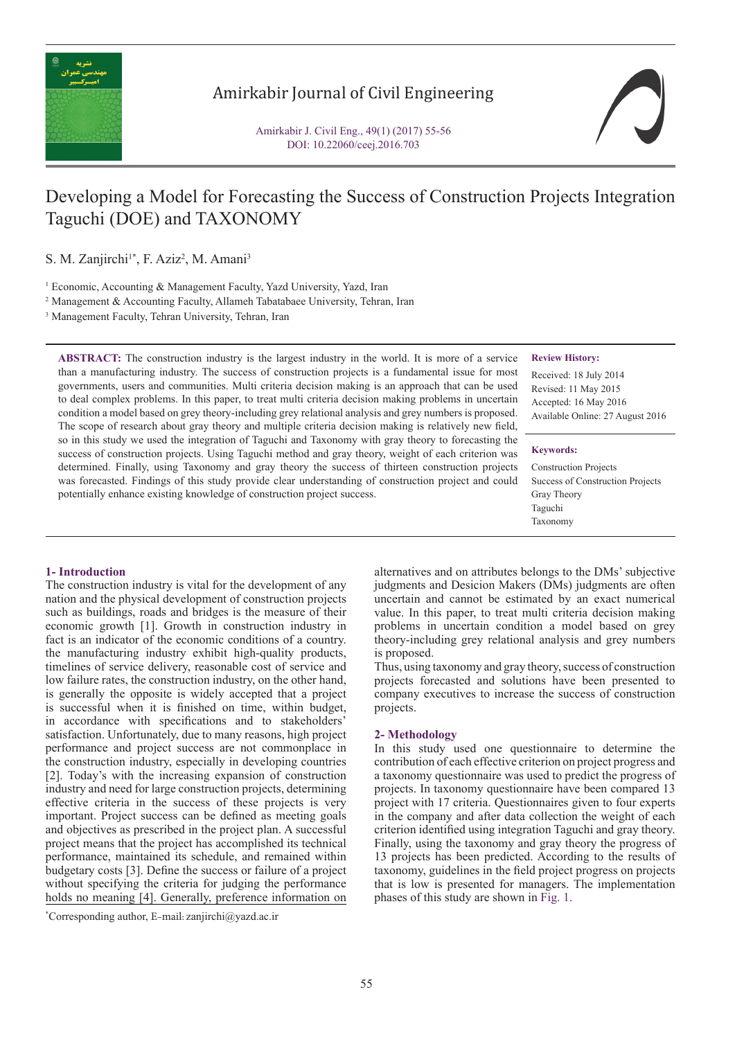

## Amirkabir Journal of Civil Engineering

Amirkabir J. Civil Eng., 49(1) (2017) 55-56 DOI: 10.22060/ceej.2016.703

# Developing a Model for Forecasting the Success of Construction Projects Integration Taguchi (DOE) and TAXONOMY

S. M. Zanjirchi<sup>1\*</sup>, F. Aziz<sup>2</sup>, M. Amani<sup>3</sup>

<sup>1</sup> Economic, Accounting & Management Faculty, Yazd University, Yazd, Iran

2 Management & Accounting Faculty, Allameh Tabatabaee University, Tehran, Iran

3 Management Faculty, Tehran University, Tehran, Iran

**ABSTRACT:** The construction industry is the largest industry in the world. It is more of a service than a manufacturing industry. The success of construction projects is a fundamental issue for most governments, users and communities. Multi criteria decision making is an approach that can be used to deal complex problems. In this paper, to treat multi criteria decision making problems in uncertain condition a model based on grey theory-including grey relational analysis and grey numbers is proposed. The scope of research about gray theory and multiple criteria decision making is relatively new field, so in this study we used the integration of Taguchi and Taxonomy with gray theory to forecasting the success of construction projects. Using Taguchi method and gray theory, weight of each criterion was determined. Finally, using Taxonomy and gray theory the success of thirteen construction projects was forecasted. Findings of this study provide clear understanding of construction project and could potentially enhance existing knowledge of construction project success.

#### **Review History:**

Received: 18 July 2014 Revised: 11 May 2015 Accepted: 16 May 2016 Available Online: 27 August 2016

#### **Keywords:**

Construction Projects Success of Construction Projects Gray Theory Taguchi Taxonomy

#### **1- Introduction**

The construction industry is vital for the development of any nation and the physical development of construction projects such as buildings, roads and bridges is the measure of their economic growth [1]. Growth in construction industry in fact is an indicator of the economic conditions of a country. the manufacturing industry exhibit high-quality products, timelines of service delivery, reasonable cost of service and low failure rates, the construction industry, on the other hand, is generally the opposite is widely accepted that a project is successful when it is finished on time, within budget, in accordance with specifications and to stakeholders' satisfaction. Unfortunately, due to many reasons, high project performance and project success are not commonplace in the construction industry, especially in developing countries [2]. Today's with the increasing expansion of construction industry and need for large construction projects, determining effective criteria in the success of these projects is very important. Project success can be defined as meeting goals and objectives as prescribed in the project plan. A successful project means that the project has accomplished its technical performance, maintained its schedule, and remained within budgetary costs [3]. Define the success or failure of a project without specifying the criteria for judging the performance holds no meaning [4]. Generally, preference information on

\* Corresponding author, E-mail: zanjirchi@yazd.ac.ir

alternatives and on attributes belongs to the DMs' subjective judgments and Desicion Makers (DMs) judgments are often uncertain and cannot be estimated by an exact numerical value. In this paper, to treat multi criteria decision making problems in uncertain condition a model based on grey theory-including grey relational analysis and grey numbers is proposed.

Thus, using taxonomy and gray theory, success of construction projects forecasted and solutions have been presented to company executives to increase the success of construction projects.

### **2- Methodology**

In this study used one questionnaire to determine the contribution of each effective criterion on project progress and a taxonomy questionnaire was used to predict the progress of projects. In taxonomy questionnaire have been compared 13 project with 17 criteria. Questionnaires given to four experts in the company and after data collection the weight of each criterion identified using integration Taguchi and gray theory. Finally, using the taxonomy and gray theory the progress of 13 projects has been predicted. According to the results of taxonomy, guidelines in the field project progress on projects that is low is presented for managers. The implementation phases of this study are shown in Fig. 1.